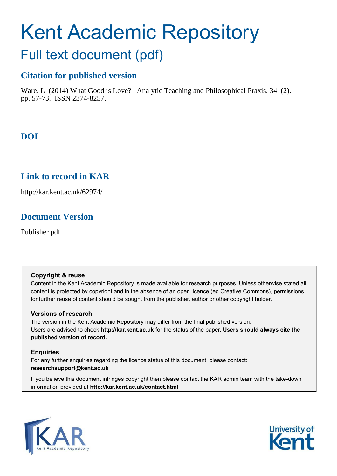# Kent Academic Repository

## Full text document (pdf)

### **Citation for published version**

Ware, L (2014) What Good is Love? Analytic Teaching and Philosophical Praxis, 34 (2). pp. 57-73. ISSN 2374-8257.

## **DOI**

## **Link to record in KAR**

http://kar.kent.ac.uk/62974/

## **Document Version**

Publisher pdf

#### **Copyright & reuse**

Content in the Kent Academic Repository is made available for research purposes. Unless otherwise stated all content is protected by copyright and in the absence of an open licence (eg Creative Commons), permissions for further reuse of content should be sought from the publisher, author or other copyright holder.

#### **Versions of research**

The version in the Kent Academic Repository may differ from the final published version. Users are advised to check **http://kar.kent.ac.uk** for the status of the paper. **Users should always cite the published version of record.**

#### **Enquiries**

For any further enquiries regarding the licence status of this document, please contact: **researchsupport@kent.ac.uk**

If you believe this document infringes copyright then please contact the KAR admin team with the take-down information provided at **http://kar.kent.ac.uk/contact.html**



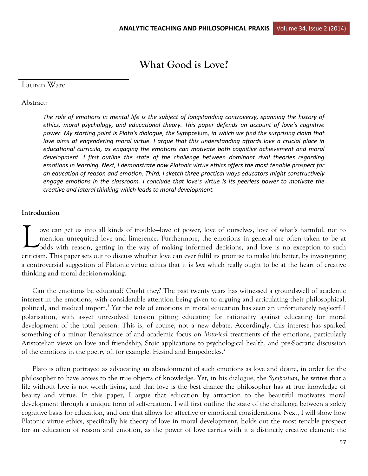## **What Good is Love?**

#### Lauren Ware

#### Abstract:

*The role of emotions in mental life is the subject of longstanding controversy, spanning the history of*  ethics, moral psychology, and educational theory. This paper defends an account of love's cognitive *power. My starting point is Plato's dialogue, the Symposium, in which we find the surprising claim that love aims at engendering moral virtue. I argue that this understanding affords love a crucial place in educational curricula, as engaging the emotions can motivate both cognitive achievement and moral development. I first outline the state of the challenge between dominant rival theories regarding emotions in learning. Next, I demonstrate how Platonic virtue ethics offers the most tenable prospect for an education of reason and emotion. Third, I sketch three practical ways educators might constructively*  engage emotions in the classroom. I conclude that love's virtue is its peerless power to motivate the *creative and lateral thinking which leads to moral development.* 

#### **Introduction**

ove can get us into all kinds of trouble—love of power, love of ourselves, love of what's harmful, not to mention unrequited love and limerence. Furthermore, the emotions in general are often taken to be at odds with reason, getting in the way of making informed decisions, and love is no exception to such criticism. This paper sets out to discuss whether love can ever fulfil its promise to make life better, by investigating a controversial suggestion of Platonic virtue ethics that it is *love* which really ought to be at the heart of creative thinking and moral decision-making.  $\sum_{\text{med}}^{\text{ov6}}$ 

Can the emotions be educated? Ought they? The past twenty years has witnessed a groundswell of academic interest in the emotions, with considerable attention being given to arguing and articulating their philosophical, political, and medical import.<sup>1</sup> Yet the role of emotions in moral education has seen an unfortunately neglectful polarisation, with as-yet unresolved tension pitting educating for rationality against educating for moral development of the total person. This is, of course, not a new debate. Accordingly, this interest has sparked something of a minor Renaissance of and academic focus on *historical* treatments of the emotions, particularly Aristotelian views on love and friendship, Stoic applications to psychological health, and pre-Socratic discussion of the emotions in the poetry of, for example, Hesiod and Empedocles.<sup>2</sup>

Plato is often portrayed as advocating an abandonment of such emotions as love and desire, in order for the philosopher to have access to the true objects of knowledge. Yet, in his dialogue, the *Symposium*, he writes that a life without love is not worth living, and that love is the best chance the philosopher has at true knowledge of beauty and virtue. In this paper, I argue that education by attraction to the beautiful motivates moral development through a unique form of self-creation. I will first outline the state of the challenge between a solely cognitive basis for education, and one that allows for affective or emotional considerations. Next, I will show how Platonic virtue ethics, specifically his theory of love in moral development, holds out the most tenable prospect for an education of reason and emotion, as the power of love carries with it a distinctly creative element: the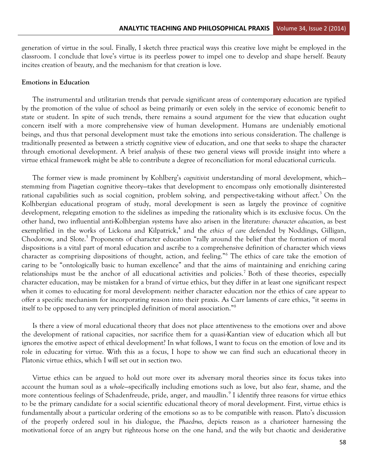generation of virtue in the soul. Finally, I sketch three practical ways this creative love might be employed in the classroom. I conclude that love's virtue is its peerless power to impel one to develop and shape herself. Beauty incites creation of beauty, and the mechanism for that creation is love.

#### **Emotions in Education**

The instrumental and utilitarian trends that pervade significant areas of contemporary education are typified by the promotion of the value of school as being primarily or even solely in the service of economic benefit to state or student. In spite of such trends, there remains a sound argument for the view that education ought concern itself with a more comprehensive view of human development. Humans are undeniably emotional beings, and thus that personal development must take the emotions into serious consideration. The challenge is traditionally presented as between a strictly cognitive view of education, and one that seeks to shape the character through emotional development. A brief analysis of these two general views will provide insight into where a virtue ethical framework might be able to contribute a degree of reconciliation for moral educational curricula.

The former view is made prominent by Kohlberg's *cognitivist* understanding of moral development, which stemming from Piagetian cognitive theory—takes that development to encompass only emotionally disinterested rational capabilities such as social cognition, problem solving, and perspective-taking without affect.<sup>3</sup> On the Kolhbergian educational program of study, moral development is seen as largely the province of cognitive development, relegating emotion to the sidelines as impeding the rationality which is its exclusive focus. On the other hand, two influential anti-Kolhbergian systems have also arisen in the literature: *character education*, as best exemplified in the works of Lickona and Kilpatrick,<sup>4</sup> and the ethics of care defended by Noddings, Gilligan, Chodorow, and Slote.<sup>5</sup> Proponents of character education "rally around the belief that the formation of moral dispositions is a vital part of moral education and ascribe to a comprehensive definition of character which views character as comprising dispositions of thought, action, and feeling."<sup>6</sup> The ethics of care take the emotion of caring to be "ontologically basic to human excellence" and that the aims of maintaining and enriching caring relationships must be the anchor of all educational activities and policies.<sup>7</sup> Both of these theories, especially character education, may be mistaken for a brand of virtue ethics, but they differ in at least one significant respect when it comes to educating for moral development: neither character education nor the ethics of care appear to offer a specific mechanism for incorporating reason into their praxis. As Carr laments of care ethics, "it seems in itself to be opposed to any very principled definition of moral association."<sup>8</sup>

Is there a view of moral educational theory that does not place attentiveness to the emotions over and above the development of rational capacities, nor sacrifice them for a quasi-Kantian view of education which all but ignores the emotive aspect of ethical development? In what follows, I want to focus on the emotion of love and its role in educating for virtue. With this as a focus, I hope to show we can find such an educational theory in Platonic virtue ethics, which I will set out in section two.

Virtue ethics can be argued to hold out more over its adversary moral theories since its focus takes into account the human soul as a *whole*—specifically including emotions such as love, but also fear, shame, and the more contentious feelings of Schadenfreude, pride, anger, and maudlin.<sup>9</sup> I identify three reasons for virtue ethics to be the primary candidate for a social scientific educational theory of moral development. First, virtue ethics is fundamentally about a particular ordering of the emotions so as to be compatible with reason. Plato's discussion of the properly ordered soul in his dialogue, the *Phaedrus*, depicts reason as a charioteer harnessing the motivational force of an angry but righteous horse on the one hand, and the wily but chaotic and desiderative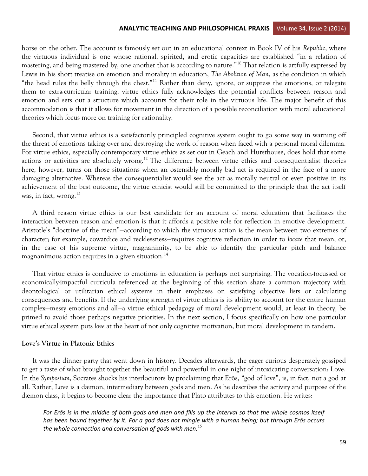horse on the other. The account is famously set out in an educational context in Book IV of his *Republic*, where the virtuous individual is one whose rational, spirited, and erotic capacities are established "in a relation of mastering, and being mastered by, one another that is according to nature."<sup>10</sup> That relation is artfully expressed by Lewis in his short treatise on emotion and morality in education, *The Abolition of Man*, as the condition in which "the head rules the belly through the chest."<sup>11</sup> Rather than deny, ignore, or suppress the emotions, or relegate them to extra-curricular training, virtue ethics fully acknowledges the potential conflicts between reason and emotion and sets out a structure which accounts for their role in the virtuous life. The major benefit of this accommodation is that it allows for movement in the direction of a possible reconciliation with moral educational theories which focus more on training for rationality.

Second, that virtue ethics is a satisfactorily principled cognitive system ought to go some way in warning off the threat of emotions taking over and destroying the work of reason when faced with a personal moral dilemma. For virtue ethics, especially contemporary virtue ethics as set out in Geach and Hursthouse, does hold that some actions or activities are absolutely wrong.<sup>12</sup> The difference between virtue ethics and consequentialist theories here, however, turns on those situations when an ostensibly morally bad act is required in the face of a more damaging alternative. Whereas the consequentialist would see the act as morally neutral or even positive in its achievement of the best outcome, the virtue ethicist would still be committed to the principle that the act itself was, in fact, wrong.<sup>13</sup>

A third reason virtue ethics is our best candidate for an account of moral education that facilitates the interaction between reason and emotion is that it affords a positive role for reflection in emotive development. Aristotle's "doctrine of the mean"—according to which the virtuous action is the mean between two extremes of character; for example, cowardice and recklessness—requires cognitive reflection in order to *locate* that mean, or, in the case of his supreme virtue, magnanimity, to be able to identify the particular pitch and balance magnanimous action requires in a given situation.<sup>14</sup>

That virtue ethics is conducive to emotions in education is perhaps not surprising. The vocation-focussed or economically-impactful curricula referenced at the beginning of this section share a common trajectory with deontological or utilitarian ethical systems in their emphases on satisfying objective lists or calculating consequences and benefits. If the underlying strength of virtue ethics is its ability to account for the entire human complex—messy emotions and all—a virtue ethical pedagogy of moral development would, at least in theory, be primed to avoid those perhaps negative priorities. In the next section, I focus specifically on how one particular virtue ethical system puts *love* at the heart of not only cognitive motivation, but moral development in tandem.

#### **Love's Virtue in Platonic Ethics**

It was the dinner party that went down in history. Decades afterwards, the eager curious desperately gossiped to get a taste of what brought together the beautiful and powerful in one night of intoxicating conversation: Love. In the *Symposium*, Socrates shocks his interlocutors by proclaiming that Erôs, "god of love", is, in fact, not a god at all. Rather, Love is a dæmon, intermediary between gods and men. As he describes the activity and purpose of the dæmon class, it begins to become clear the importance that Plato attributes to this emotion. He writes:

*For Erôs is in the middle of both gods and men and fills up the interval so that the whole cosmos itself has been bound together by it. For a god does not mingle with a human being; but through Erôs occurs the whole connection and conversation of gods with men.<sup>15</sup>*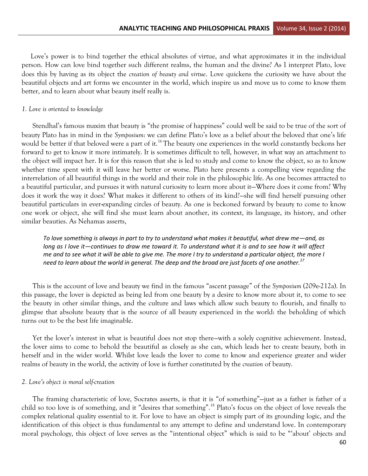Love's power is to bind together the ethical absolutes of virtue, and what approximates it in the individual person. How can love bind together such different realms, the human and the divine? As I interpret Plato, love does this by having as its object the *creation of beauty and virtue*. Love quickens the curiosity we have about the beautiful objects and art forms we encounter in the world, which inspire us and move us to come to know them better, and to learn about what beauty itself really is.

#### *1. Love is oriented to knowledge*

Stendhal's famous maxim that beauty is "the promise of happiness" could well be said to be true of the sort of beauty Plato has in mind in the *Symposium*: we can define Plato's love as a belief about the beloved that one's life would be better if that beloved were a part of it.<sup>16</sup> The beauty one experiences in the world constantly beckons her forward to get to know it more intimately. It is sometimes difficult to tell, however, in what way an attachment to the object will impact her. It is for this reason that she is led to study and come to know the object, so as to know whether time spent with it will leave her better or worse. Plato here presents a compelling view regarding the interrelation of all beautiful things in the world and their role in the philosophic life. As one becomes attracted to a beautiful particular, and pursues it with natural curiosity to learn more about it—Where does it come from? Why does it work the way it does? What makes it different to others of its kind?—she will find herself pursuing other beautiful particulars in ever-expanding circles of beauty. As one is beckoned forward by beauty to come to know one work or object, she will find she must learn about another, its context, its language, its history, and other similar beauties. As Nehamas asserts,

*To love something is always in part to try to understand what makes it beautiful, what drew me—and, as long as I love it*—continues to draw me toward it. To understand what it is and to see how it will affect *me and to see what it will be able to give me. The more I try to understand a particular object, the more I need to learn about the world in general. The deep and the broad are just facets of one another.<sup>17</sup>*

This is the account of love and beauty we find in the famous "ascent passage" of the *Symposium* (209e-212a). In this passage, the lover is depicted as being led from one beauty by a desire to know more about it, to come to see the beauty in other similar things, and the culture and laws which allow such beauty to flourish, and finally to glimpse that absolute beauty that is the source of all beauty experienced in the world: the beholding of which turns out to be the best life imaginable.

Yet the lover's interest in what is beautiful does not stop there—with a solely cognitive achievement. Instead, the lover aims to come to behold the beautiful as closely as she can, which leads her to create beauty, both in herself and in the wider world. Whilst love leads the lover to come to know and experience greater and wider realms of beauty in the world, the activity of love is further constituted by the *creation* of beauty.

#### *2. Love's object is moral self-creation*

The framing characteristic of love, Socrates asserts, is that it is "of something"—just as a father is father of a child so too love is of something, and it "desires that something".<sup>18</sup> Plato's focus on the object of love reveals the complex relational quality essential to it. For love to have an object is simply part of its grounding logic, and the identification of this object is thus fundamental to any attempt to define and understand love. In contemporary moral psychology, this object of love serves as the "intentional object" which is said to be "'about' objects and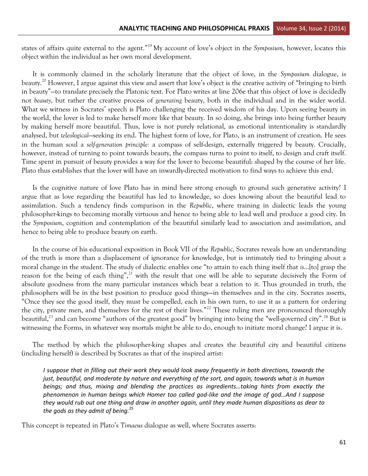states of affairs quite external to the agent." <sup>19</sup> My account of love's object in the *Symposium*, however, locates this object within the individual as her own moral development.

It is commonly claimed in the scholarly literature that the object of love, in the *Symposium* dialogue, is beauty.<sup>20</sup> However, I argue against this view and assert that love's object is the creative activity of "bringing to birth in beauty"—to translate precisely the Platonic text. For Plato writes at line 206e that this object of love is decidedly not *beauty*, but rather the creative process of *generating* beauty, both in the individual and in the wider world. What we witness in Socrates' speech is Plato challenging the received wisdom of his day. Upon seeing beauty in the world, the lover is led to make herself more like that beauty. In so doing, she brings into being further beauty by making herself more beautiful. Thus, love is not purely relational, as emotional intentionality is standardly analysed, but *teleological*—seeking its end. The highest form of love, for Plato, is an instrument of creation. He sees in the human soul a *self-generation principle:* a compass of self-design, externally triggered by beauty. Crucially, however, instead of turning to point towards beauty, the compass turns to point to itself, to design and craft itself. Time spent in pursuit of beauty provides a way for the lover to become beautiful: shaped by the course of her life. Plato thus establishes that the lover will have an inwardly-directed motivation to find ways to achieve this end.

Is the cognitive nature of love Plato has in mind here strong enough to ground such generative activity? I argue that as love regarding the beautiful has led to knowledge, so does knowing about the beautiful lead to assimilation. Such a tendency finds comparison in the *Republic*, where training in dialectic leads the young philosopher-kings to becoming morally virtuous and hence to being able to lead well and produce a good city. In the *Symposium*, cognition and contemplation of the beautiful similarly lead to association and assimilation, and hence to being able to produce beauty on earth.

In the course of his educational exposition in Book VII of the *Republic*, Socrates reveals how an understanding of the truth is more than a displacement of ignorance for knowledge, but is intimately tied to bringing about a moral change in the student. The study of dialectic enables one "to attain to each thing itself that *is*…[to] grasp the reason for the being of each thing",<sup>21</sup> with the result that one will be able to separate decisively the Form of absolute goodness from the many particular instances which bear a relation to it. Thus grounded in truth, the philosophers will be in the best position to produce good things—in themselves and in the city. Socrates asserts, "Once they see the good itself, they must be compelled, each in his own turn, to use it as a pattern for ordering the city, private men, and themselves for the rest of their lives."<sup>22</sup> These ruling men are pronounced thoroughly beautiful,<sup>23</sup> and can become "authors of the greatest good" by bringing into being the "well-governed city".<sup>24</sup> But is witnessing the Forms, in whatever way mortals might be able to do, enough to initiate moral change? I argue it is.

The method by which the philosopher-king shapes and creates the beautiful city and beautiful citizens (including herself) is described by Socrates as that of the inspired artist:

*I suppose that in filling out their work they would look away frequently in both directions, towards the just, beautiful, and moderate by nature and everything of the sort, and again, towards what is in human beings; and thus, mixing and blending the practices as ingredients...taking hints from exactly the phenomenon in human beings which Homer too called god-like and the image of god...And I suppose they would rub out one thing and draw in another again, until they made human dispositions as dear to the gods as they admit of being.<sup>25</sup>*

This concept is repeated in Plato's *Timaeus* dialogue as well, where Socrates asserts: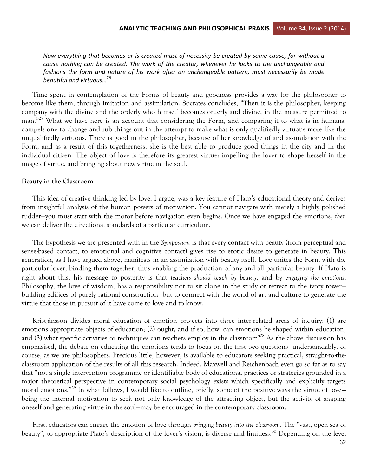*Now everything that becomes or is created must of necessity be created by some cause, for without a cause nothing can be created. The work of the creator, whenever he looks to the unchangeable and*  fashions the form and nature of his work after an unchangeable pattern, must necessarily be made *beautiful and virtuous...<sup>26</sup>* 

Time spent in contemplation of the Forms of beauty and goodness provides a way for the philosopher to become like them, through imitation and assimilation. Socrates concludes, "Then it is the philosopher, keeping company with the divine and the orderly who himself becomes orderly and divine, in the measure permitted to man."<sup>27</sup> What we have here is an account that considering the Form, and comparing it to what is in humans, compels one to change and rub things out in the attempt to make what is only qualifiedly virtuous more like the unqualifiedly virtuous. There is good in the philosopher, because of her knowledge of and assimilation with the Form, and as a result of this togetherness, she is the best able to produce good things in the city and in the individual citizen. The object of love is therefore its greatest virtue: impelling the lover to shape herself in the image of virtue, and bringing about new virtue in the soul.

#### **Beauty in the Classroom**

This idea of creative thinking led by love, I argue, was a key feature of Plato's educational theory and derives from insightful analysis of the human powers of motivation. You cannot navigate with merely a highly polished rudder—you must start with the motor before navigation even begins. Once we have engaged the emotions, *then* we can deliver the directional standards of a particular curriculum.

The hypothesis we are presented with in the *Symposium* is that every contact with beauty (from perceptual and sense-based contact, to emotional and cognitive contact) gives rise to erotic desire to generate in beauty. This generation, as I have argued above, manifests in an assimilation with beauty itself. Love unites the Form with the particular lover, binding them together, thus enabling the production of any and all particular beauty. If Plato is right about this, his message to posterity is that *teachers should teach by beauty,* and by *engaging the emotions*. Philosophy, the love of wisdom, has a responsibility not to sit alone in the study or retreat to the ivory tower building edifices of purely rational construction—but to connect with the world of art and culture to generate the virtue that those in pursuit of it have come to love and to know.

Kristjánsson divides moral education of emotion projects into three inter-related areas of inquiry: (1) are emotions appropriate objects of education; (2) ought, and if so, how, can emotions be shaped within education; and (3) what specific activities or techniques can teachers employ in the classroom?<sup>28</sup> As the above discussion has emphasised, the debate on educating the emotions tends to focus on the first two questions—understandably, of course, as we are philosophers. Precious little, however, is available to educators seeking practical, straight-to-theclassroom application of the results of all this research. Indeed, Maxwell and Reichenbach even go so far as to say that "not a single intervention programme or identifiable body of educational practices or strategies grounded in a major theoretical perspective in contemporary social psychology exists which specifically and explicitly targets moral emotions."<sup>29</sup> In what follows, I would like to outline, briefly, some of the positive ways the virtue of love being the internal motivation to seek not only knowledge of the attracting object, but the activity of shaping oneself and generating virtue in the soul—may be encouraged in the contemporary classroom.

First, educators can engage the emotion of love through *bringing beauty into the classroom*. The "vast, open sea of beauty", to appropriate Plato's description of the lover's vision, is diverse and limitless.<sup>30</sup> Depending on the level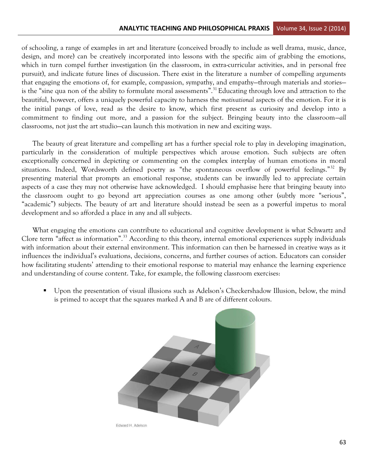of schooling, a range of examples in art and literature (conceived broadly to include as well drama, music, dance, design, and more) can be creatively incorporated into lessons with the specific aim of grabbing the emotions, which in turn compel further investigation (in the classroom, in extra-curricular activities, and in personal free pursuit), and indicate future lines of discussion. There exist in the literature a number of compelling arguments that engaging the emotions of, for example, compassion, sympathy, and empathy—through materials and stories is the "sine qua non of the ability to formulate moral assessments".<sup>31</sup> Educating through love and attraction to the beautiful, however, offers a uniquely powerful capacity to harness the *motivational* aspects of the emotion. For it is the initial pangs of love, read as the desire to know, which first present as curiosity and develop into a commitment to finding out more, and a passion for the subject. Bringing beauty into the classroom—*all* classrooms, not just the art studio—can launch this motivation in new and exciting ways.

The beauty of great literature and compelling art has a further special role to play in developing imagination, particularly in the consideration of multiple perspectives which arouse emotion. Such subjects are often exceptionally concerned in depicting or commenting on the complex interplay of human emotions in moral situations. Indeed, Wordsworth defined poetry as "the spontaneous overflow of powerful feelings."<sup>32</sup> By presenting material that prompts an emotional response, students can be inwardly led to appreciate certain aspects of a case they may not otherwise have acknowledged. I should emphasise here that bringing beauty into the classroom ought to go beyond art appreciation courses as one among other (subtly more "serious", "academic") subjects. The beauty of art and literature should instead be seen as a powerful impetus to moral development and so afforded a place in any and all subjects.

What engaging the emotions can contribute to educational and cognitive development is what Schwartz and Clore term "affect as information".<sup>33</sup> According to this theory, internal emotional experiences supply individuals with information about their external environment. This information can then be harnessed in creative ways as it influences the individual's evaluations, decisions, concerns, and further courses of action. Educators can consider how facilitating students' attending to their emotional response to material may enhance the learning experience and understanding of course content. Take, for example, the following classroom exercises:

̇ Upon the presentation of visual illusions such as Adelson's Checkershadow Illusion, below, the mind is primed to accept that the squares marked A and B are of different colours.

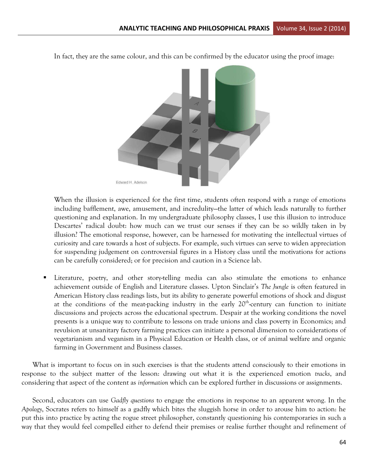

In fact, they are the same colour, and this can be confirmed by the educator using the proof image:

When the illusion is experienced for the first time, students often respond with a range of emotions including bafflement, awe, amusement, and incredulity—the latter of which leads naturally to further questioning and explanation. In my undergraduate philosophy classes, I use this illusion to introduce Descartes' radical doubt: how much can we trust our senses if they can be so wildly taken in by illusion? The emotional response, however, can be harnessed for motivating the intellectual virtues of curiosity and care towards a host of subjects. For example, such virtues can serve to widen appreciation for suspending judgement on controversial figures in a History class until the motivations for actions can be carefully considered; or for precision and caution in a Science lab.

̇ Literature, poetry, and other story-telling media can also stimulate the emotions to enhance achievement outside of English and Literature classes. Upton Sinclair's *The Jungle* is often featured in American History class readings lists, but its ability to generate powerful emotions of shock and disgust at the conditions of the meat-packing industry in the early  $20<sup>th</sup>$ -century can function to initiate discussions and projects across the educational spectrum. Despair at the working conditions the novel presents is a unique way to contribute to lessons on trade unions and class poverty in Economics; and revulsion at unsanitary factory farming practices can initiate a personal dimension to considerations of vegetarianism and veganism in a Physical Education or Health class, or of animal welfare and organic farming in Government and Business classes.

What is important to focus on in such exercises is that the students attend consciously to their emotions in response to the subject matter of the lesson: drawing out what it is the experienced emotion *tracks*, and considering that aspect of the content as *information* which can be explored further in discussions or assignments.

Second, educators can use *Gadfly questions* to engage the emotions in response to an apparent wrong. In the *Apology*, Socrates refers to himself as a gadfly which bites the sluggish horse in order to arouse him to action: he put this into practice by acting the rogue street philosopher, constantly questioning his contemporaries in such a way that they would feel compelled either to defend their premises or realise further thought and refinement of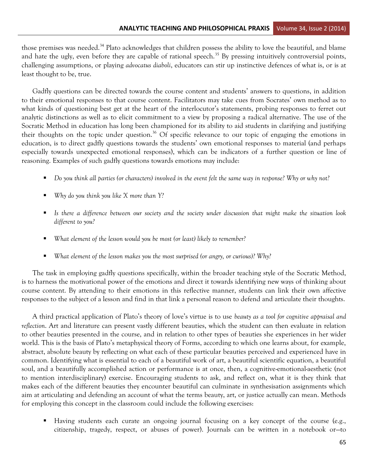those premises was needed.<sup>34</sup> Plato acknowledges that children possess the ability to love the beautiful, and blame and hate the ugly, even before they are capable of rational speech.<sup>35</sup> By pressing intuitively controversial points, challenging assumptions, or playing *advocatus diaboli*, educators can stir up instinctive defences of what is, or is at least thought to be, true.

Gadfly questions can be directed towards the course content and students' answers to questions, in addition to their emotional responses to that course content. Facilitators may take cues from Socrates' own method as to what kinds of questioning best get at the heart of the interlocutor's statements, probing responses to ferret out analytic distinctions as well as to elicit commitment to a view by proposing a radical alternative. The use of the Socratic Method in education has long been championed for its ability to aid students in clarifying and justifying their thoughts on the topic under question.<sup>36</sup> Of specific relevance to our topic of engaging the emotions in education, is to direct gadfly questions towards the students' own emotional responses to material (and perhaps especially towards unexpected emotional responses), which can be indicators of a further question or line of reasoning. Examples of such gadfly questions towards emotions may include:

- ̇ *Do you think all parties (or characters) involved in the event felt the same way in response? Why or why not?*
- ̇ *Why do you think you like X more than Y?*
- ̇ *Is there a difference between our society and the society under discussion that might make the situation look different to you?*
- ̇ *What element of the lesson would you be most (or least) likely to remember?*
- ̇ *What element of the lesson makes you the most surprised (or angry, or curious)? Why?*

The task in employing gadfly questions specifically, within the broader teaching style of the Socratic Method, is to harness the motivational power of the emotions and direct it towards identifying new ways of thinking about course content. By attending to their emotions in this reflective manner, students can link their own affective responses to the subject of a lesson and find in that link a personal reason to defend and articulate their thoughts.

A third practical application of Plato's theory of love's virtue is to use *beauty as a tool for cognitive appraisal and reflection*. Art and literature can present vastly different beauties, which the student can then evaluate in relation to other beauties presented in the course, and in relation to other types of beauties she experiences in her wider world. This is the basis of Plato's metaphysical theory of Forms, according to which one learns about, for example, abstract, absolute beauty by reflecting on what each of these particular beauties perceived and experienced have in common. Identifying what is essential to each of a beautiful work of art, a beautiful scientific equation, a beautiful soul, and a beautifully accomplished action or performance is at once, then, a cognitive-emotional-aesthetic (not to mention interdisciplinary) exercise. Encouraging students to ask, and reflect on, what it is they think that makes each of the different beauties they encounter beautiful can culminate in synthesisation assignments which aim at articulating and defending an account of what the terms beauty, art, or justice actually can mean. Methods for employing this concept in the classroom could include the following exercises:

̇ Having students each curate an ongoing journal focusing on a key concept of the course (e.g., citizenship, tragedy, respect, or abuses of power). Journals can be written in a notebook or—to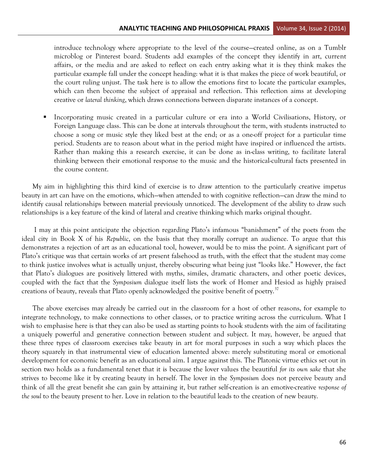introduce technology where appropriate to the level of the course—created online, as on a Tumblr microblog or Pinterest board. Students add examples of the concept they identify in art, current affairs, or the media and are asked to reflect on each entry asking what it is they think makes the particular example fall under the concept heading: what it is that makes the piece of work beautiful, or the court ruling unjust. The task here is to allow the emotions first to locate the particular examples, which can then become the subject of appraisal and reflection. This reflection aims at developing creative or *lateral thinking*, which draws connections between disparate instances of a concept.

̇ Incorporating music created in a particular culture or era into a World Civilisations, History, or Foreign Language class. This can be done at intervals throughout the term, with students instructed to choose a song or music style they liked best at the end; or as a one-off project for a particular time period. Students are to reason about what in the period might have inspired or influenced the artists. Rather than making this a research exercise, it can be done as in-class writing, to facilitate lateral thinking between their emotional response to the music and the historical-cultural facts presented in the course content.

My aim in highlighting this third kind of exercise is to draw attention to the particularly creative impetus beauty in art can have on the emotions, which—when attended to with cognitive reflection—can draw the mind to identify causal relationships between material previously unnoticed. The development of the ability to draw such relationships is a key feature of the kind of lateral and creative thinking which marks original thought.

I may at this point anticipate the objection regarding Plato's infamous "banishment" of the poets from the ideal city in Book X of his *Republic*, on the basis that they morally corrupt an audience. To argue that this demonstrates a rejection of art as an educational tool, however, would be to miss the point. A significant part of Plato's critique was that certain works of art present falsehood as truth, with the effect that the student may come to think justice involves what is actually unjust, thereby obscuring what being just "looks like." However, the fact that Plato's dialogues are positively littered with myths, similes, dramatic characters, and other poetic devices, coupled with the fact that the *Symposium* dialogue itself lists the work of Homer and Hesiod as highly praised creations of beauty, reveals that Plato openly acknowledged the positive benefit of poetry.<sup>37</sup>

The above exercises may already be carried out in the classroom for a host of other reasons, for example to integrate technology, to make connections to other classes, or to practice writing across the curriculum. What I wish to emphasise here is that they can also be used as starting points to hook students with the aim of facilitating a uniquely powerful and generative connection between student and subject. It may, however, be argued that these three types of classroom exercises take beauty in art for moral purposes in such a way which places the theory squarely in that instrumental view of education lamented above: merely substituting moral or emotional development for economic benefit as an educational aim. I argue against this. The Platonic virtue ethics set out in section two holds as a fundamental tenet that it is because the lover values the beautiful *for its own sake* that she strives to become like it by creating beauty in herself. The lover in the *Symposium* does not perceive beauty and think of all the great benefit she can gain by attaining it, but rather self-creation is an emotive-creative *response of the soul* to the beauty present to her. Love in relation to the beautiful leads to the creation of new beauty.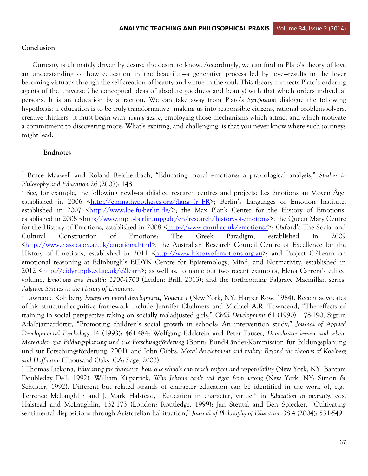#### **Conclusion**

Curiosity is ultimately driven by desire: the desire to know. Accordingly, we can find in Plato's theory of love an understanding of how education in the beautiful—a generative process led by love—results in the lover becoming virtuous through the self-creation of beauty and virtue in the soul. This theory connects Plato's ordering agents of the universe (the conceptual ideas of absolute goodness and beauty) with that which orders individual persons. It is an education by attraction. We can take away from Plato's *Symposium* dialogue the following hypothesis: if education is to be truly transformative—making us into responsible citizens, rational problem-solvers, creative thinkers—it must begin with *honing desire*, employing those mechanisms which attract and which motivate a commitment to discovering more. What's exciting, and challenging, is that you never know where such journeys might lead.

#### **Endnotes**

1 Bruce Maxwell and Roland Reichenbach, "Educating moral emotions: a praxiological analysis," *Studies in Philosophy and Education* 26 (2007): 148.

<sup>2</sup> See, for example, the following newly-established research centres and projects: Les émotions au Moyen Âge, established in 2006  $\frac{\text{http://emma.hypotheses.org/!lang=fr} \ FR}{$ ; Berlin's Languages of Emotion Institute, established in 2007  $\frac{\text{http://www.loe.fu-berlin.de/}}{;}$  the Max Plank Center for the History of Emotions, established in 2008 [<http://www.mpib-berlin.mpg.de/en/research/history-of-emotions>](http://www.mpib-berlin.mpg.de/en/research/history-of-emotions); the Queen Mary Centre for the History of Emotions, established in 2008 [<http://www.qmul.ac.uk/emotions/](http://www.qmul.ac.uk/emotions/)>; Oxford's The Social and Cultural Construction of Emotions: The Greek Paradigm, established in 2009 [<http://www.classics.ox.ac.uk/emotions.html>](http://www.classics.ox.ac.uk/emotions.html); the Australian Research Council Centre of Excellence for the History of Emotions, established in 2011 [<http://www.historyofemotions.org.au>](http://www.historyofemotions.org.au/); and Project C2Learn on emotional reasoning at Edinburgh's EIDYN Centre for Epistemology, Mind, and Normativity, established in 2012 [<http://eidyn.ppls.ed.ac.uk/c2learn](http://eidyn.ppls.ed.ac.uk/c2learn)>; as well as, to name but two recent examples, Elena Carrera's edited volume, *Emotions and Health: 1200-1700* (Leiden: Brill, 2013); and the forthcoming Palgrave Macmillan series: *Palgrave Studies in the History of Emotions*.

3 Lawrence Kohlberg, *Essays on moral development, Volume I* (New York, NY: Harper Row, 1984). Recent advocates of his structural-cognitive framework include Jennifer Chalmers and Michael A.R. Townsend, "The effects of training in social perspective taking on socially maladjusted girls," *Child Development* 61 (1990): 178-190; Sigrun Adalbjarnardóttir, "Promoting children's social growth in schools: An intervention study," *Journal of Applied Developmental Psychology* 14 (1993): 461-484; Wolfgang Edelstein and Peter Fauser, *Demokratie lernen und leben: Materialen zur Bildungsplanung und zur Forschungsförderung* (Bonn: Bund-Länder-Kommission für Bildungsplanung und zur Forschungsförderung, 2001); and John Gibbs, *Moral development and reality: Beyond the theories of Kohlberg and Hoffmann* (Thousand Oaks, CA: Sage, 2003).

4 Thomas Lickona, *Educating for character: how our schools can teach respect and responsibility* (New York, NY: Bantam Doubleday Dell, 1992); William Kilpatrick, *Why Johnny can't tell right from wrong* (New York, NY: Simon & Schuster, 1992). Different but related strands of character education can be identified in the work of, e.g., Terrence McLaughlin and J. Mark Halstead, "Education in character, virtue," in *Education in morality*, eds. Halstead and McLaughlin, 132-173 (London: Routledge, 1999); Jan Steutal and Ben Spiecker, "Cultivating sentimental dispositions through Aristotelian habituation," *Journal of Philosophy of Education* 38:4 (2004): 531-549.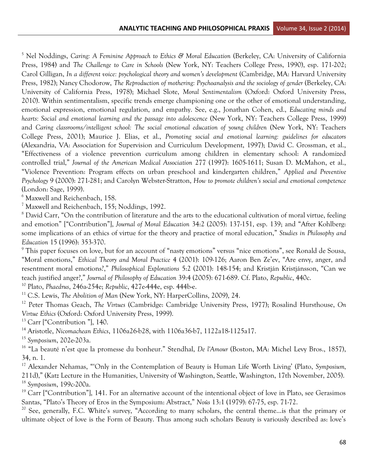5 Nel Noddings, *Caring: A Feminine Approach to Ethics & Moral Education* (Berkeley, CA: University of California Press, 1984) and *The Challenge to Care in Schools* (New York, NY: Teachers College Press, 1990), esp. 171-202; Carol Gilligan, *In a different voice: psychological theory and women's development* (Cambridge, MA: Harvard University Press, 1982); Nancy Chodorow, *The Reproduction of mothering: Psychoanalysis and the sociology of gender* (Berkeley, CA: University of California Press, 1978); Michael Slote, *Moral Sentimentalism* (Oxford: Oxford University Press, 2010). Within sentimentalism, specific trends emerge championing one or the other of emotional understanding, emotional expression, emotional regulation, and empathy. See, e.g., Jonathan Cohen, ed., *Educating minds and hearts: Social and emotional learning and the passage into adolescence* (New York, NY: Teachers College Press, 1999) and *Caring classrooms/intelligent school: The social emotional education of young children* (New York, NY: Teachers College Press, 2001); Maurice J. Elias, et al., *Promoting social and emotional learning: guidelines for educators* (Alexandria, VA: Association for Supervision and Curriculum Development, 1997); David C. Grossman, et al., "Effectiveness of a violence prevention curriculum among children in elementary school: A randomized controlled trial," *Journal of the American Medical Association* 277 (1997): 1605-1611; Susan D. McMahon, et al., "Violence Prevention: Program effects on urban preschool and kindergarten children," *Applied and Preventive Psychology* 9 (2000): 271-281; and Carolyn Webster-Stratton, *How to promote children's social and emotional competence* (London: Sage, 1999).

6 Maxwell and Reichenbach, 158.

<sup>7</sup> Maxwell and Reichenbach, 155; Noddings, 1992.

<sup>8</sup> David Carr, "On the contribution of literature and the arts to the educational cultivation of moral virtue, feeling and emotion" ["Contribution"], *Journal of Moral Education* 34:2 (2005): 137-151, esp. 139; and "After Kohlberg: some implications of an ethics of virtue for the theory and practice of moral education," *Studies in Philosophy and Education* 15 (1996): 353-370.

<sup>9</sup> This paper focuses on love, but for an account of "nasty emotions" versus "nice emotions", see Ronald de Sousa, "Moral emotions," *Ethical Theory and Moral Practice* 4 (2001): 109-126; Aaron Ben Ze'ev, "Are envy, anger, and resentment moral emotions?," *Philosophical Explorations* 5:2 (2001): 148-154; and Kristján Kristjánsson, "Can we teach justified anger?," *Journal of Philosophy of Education* 39:4 (2005): 671-689. Cf. Plato, *Republic*, 440c.

<sup>10</sup> Plato, *Phaedrus*, 246a-254e; *Republic*, 427e-444e, esp. 444b-e.

<sup>11</sup> C.S. Lewis, *The Abolition of Man* (New York, NY: HarperCollins, 2009), 24.

<sup>12</sup> Peter Thomas Geach, *The Virtues* (Cambridge: Cambridge University Press, 1977); Rosalind Hursthouse, *On Virtue Ethics* (Oxford: Oxford University Press, 1999).

 $13$  Carr ["Contribution"], 140.

<sup>14</sup> Aristotle, *Nicomachean Ethics*, 1106a26-b28, with 1106a36-b7, 1122a18-1125a17.

<sup>15</sup> *Symposium*, 202e-203a.

<sup>16</sup> "La beauté n'est que la promesse du bonheur." Stendhal, *De l'Amour* (Boston, MA: Michel Levy Bros., 1857), 34, n. 1.

<sup>17</sup> Alexander Nehamas, "'Only in the Contemplation of Beauty is Human Life Worth Living' (Plato, *Symposium,*  211d)," (Katz Lecture in the Humanities, University of Washington, Seattle, Washington, 17th November, 2005). <sup>18</sup> *Symposium*, 199c-200a.

<sup>19</sup> Carr ["Contribution"], 141. For an alternative account of the intentional object of love in Plato, see Gerasimos Santas, "Plato's Theory of Eros in the Symposium: Abstract," *Noûs* 13:1 (1979): 67-75, esp. 71-72.

<sup>20</sup> See, generally, F.C. White's survey, "According to many scholars, the central theme... is that the primary or ultimate object of love is the Form of Beauty. Thus among such scholars Beauty is variously described as: love's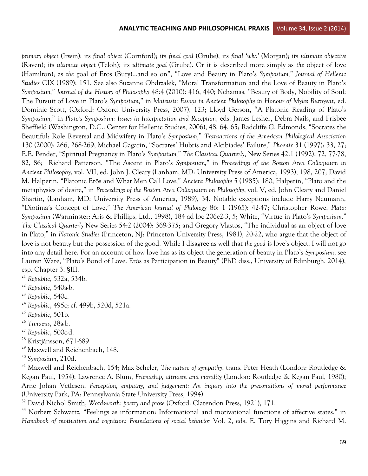*primary object* (Irwin); its *final object* (Cornford); its *final goal* (Grube); its *final 'why'* (Morgan); its *ultimate objective* (Raven); its *ultimate object* (Teloh); its *ultimate goal* (Grube). Or it is described more simply as *the* object of love (Hamilton); as *the* goal of Eros (Bury)…and so on", "Love and Beauty in Plato's *Symposium,*" *Journal of Hellenic Studies* CIX (1989): 151. See also Suzanne Obdrzalek, "Moral Transformation and the Love of Beauty in Plato's *Symposium,*" *Journal of the History of Philosophy* 48:4 (2010): 416, 440; Nehamas, "Beauty of Body, Nobility of Soul: The Pursuit of Love in Plato's *Symposium,*" in *Maieusis: Essays in Ancient Philosophy in Honour of Myles Burnyeat*, ed. Dominic Scott, (Oxford: Oxford University Press, 2007), 123; Lloyd Gerson, "A Platonic Reading of Plato's *Symposium,*" in *Plato's Symposium: Issues in Interpretation and Reception*, eds. James Lesher, Debra Nails, and Frisbee Sheffield (Washington, D.C.: Center for Hellenic Studies, 2006), 48, 64, 65; Radcliffe G. Edmonds, "Socrates the Beautiful: Role Reversal and Midwifery in Plato's *Symposium,*" *Transactions of the American Philological Association* 130 (2000): 266, 268-269; Michael Gagarin, "Socrates' Hubris and Alcibiades' Failure," *Phoenix* 31 (1997): 33, 27; E.E. Pender, "Spiritual Pregnancy in Plato's *Symposium,*" *The Classical Quarterly*, New Series 42:1 (1992): 72, 77-78, 82, 86; Richard Patterson, "The Ascent in Plato's *Symposium,*" in *Proceedings of the Boston Area Colloquium in Ancient Philosophy*, vol. VII, ed. John J. Cleary (Lanham, MD: University Press of America, 1993), 198, 207; David M. Halperin, "Platonic Erôs and What Men Call Love," *Ancient Philosophy* 5 (1985): 180; Halperin, "Plato and the metaphysics of desire," in *Proceedings of the Boston Area Colloquium on Philosophy*, vol. V, ed. John Cleary and Daniel Shartin, (Lanham, MD: University Press of America, 1989), 34. Notable exceptions include Harry Neumann, "Diotima's Concept of Love," *The American Journal of Philology* 86: 1 (1965): 42-47; Christopher Rowe, *Plato: Symposium* (Warminster: Aris & Phillips, Ltd., 1998), 184 ad loc 206e2-3, 5; White, "Virtue in Plato's *Symposium,*" *The Classical Quarterly* New Series 54:2 (2004): 369-375; and Gregory Vlastos, "The individual as an object of love in Plato," in *Platonic Studies* (Princeton, NJ: Princeton University Press, 1981), 20-22, who argue that the object of love is not beauty but the possession of the good. While I disagree as well that *the good* is love's object, I will not go into any detail here. For an account of how love has as its object the generation of beauty in Plato's *Symposium*, see Lauren Ware, "Plato's Bond of Love: Erôs as Participation in Beauty" (PhD diss., University of Edinburgh, 2014), esp. Chapter 3, §III.

- <sup>21</sup> *Republic*, 532a, 534b.
- <sup>22</sup> *Republic*, 540a-b.
- <sup>23</sup> *Republic*, 540c.
- <sup>24</sup> *Republic*, 495c; cf. 499b, 520d, 521a.
- <sup>25</sup> *Republic*, 501b.
- <sup>26</sup> *Timaeus*, 28a-b.
- <sup>27</sup> *Republic*, 500c-d.
- <sup>28</sup> Kristjánsson, 671-689.
- <sup>29</sup> Maxwell and Reichenbach, 148.
- <sup>30</sup> *Symposium*, 210d.

<sup>31</sup> Maxwell and Reichenbach, 154; Max Scheler, *The nature of sympathy*, trans. Peter Heath (London: Routledge & Kegan Paul, 1954); Lawrence A. Blum, *Friendship, altruism and morality* (London: Routledge & Kegan Paul, 1980); Arne Johan Vetlesen, *Perception, empathy, and judgement: An inquiry into the preconditions of moral performance* (University Park, PA: Pennsylvania State University Press, 1994).

<sup>32</sup> David Nichol Smith, *Wordsworth: poetry and prose* (Oxford: Clarendon Press, 1921), 171.

<sup>33</sup> Norbert Schwartz, "Feelings as information: Informational and motivational functions of affective states," in *Handbook of motivation and cognition: Foundations of social behavior* Vol. 2, eds. E. Tory Higgins and Richard M.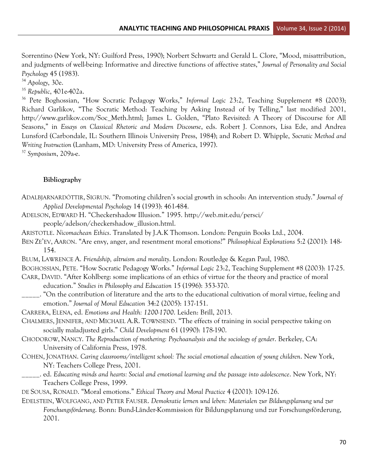Sorrentino (New York, NY: Guilford Press, 1990); Norbert Schwartz and Gerald L. Clore, "Mood, misattribution, and judgments of well-being: Informative and directive functions of affective states," *Journal of Personality and Social Psychology* 45 (1983).

<sup>34</sup> *Apology*, 30e.

<sup>35</sup> *Republic*, 401e-402a.

<sup>36</sup> Pete Boghossian, "How Socratic Pedagogy Works," *Informal Logic* 23:2, Teaching Supplement #8 (2003); Richard Garlikov, "The Socratic Method: Teaching by Asking Instead of by Telling," last modified 2001, http://www.garlikov.com/Soc\_Meth.html; James L. Golden, "Plato Revisited: A Theory of Discourse for All Seasons," in *Essays on Classical Rhetoric and Modern Discourse*, eds. Robert J. Connors, Lisa Ede, and Andrea Lunsford (Carbondale, IL: Southern Illinois University Press, 1984); and Robert D. Whipple, *Socratic Method and Writing Instruction* (Lanham, MD: University Press of America, 1997).

<sup>37</sup> *Symposium*, 209a-e.

#### **Bibliography**

- ADALBJARNARDÓTTIR, SIGRUN. "Promoting children's social growth in schools: An intervention study." *Journal of Applied Developmental Psychology* 14 (1993): 461-484.
- ADELSON, EDWARD H. "Checkershadow Illusion." 1995. http://web.mit.edu/persci/ people/adelson/checkershadow\_illusion.html.
- ARISTOTLE. *Nicomachean Ethics*. Translated by J.A.K Thomson. London: Penguin Books Ltd., 2004.
- BEN ZE'EV, AARON. "Are envy, anger, and resentment moral emotions?" *Philosophical Explorations* 5:2 (2001): 148- 154.
- BLUM, LAWRENCE A. *Friendship, altruism and morality*. London: Routledge & Kegan Paul, 1980.

BOGHOSSIAN, PETE. "How Socratic Pedagogy Works." *Informal Logic* 23:2, Teaching Supplement #8 (2003): 17-25.

- CARR, DAVID. "After Kohlberg: some implications of an ethics of virtue for the theory and practice of moral education." *Studies in Philosophy and Education* 15 (1996): 353-370.
- \_\_\_\_\_. "On the contribution of literature and the arts to the educational cultivation of moral virtue, feeling and emotion." *Journal of Moral Education* 34:2 (2005): 137-151.

CARRERA, ELENA, ed. *Emotions and Health: 1200-1700*. Leiden: Brill, 2013.

- CHALMERS, JENNIFER, AND MICHAEL A.R. TOWNSEND. "The effects of training in social perspective taking on socially maladjusted girls." *Child Development* 61 (1990): 178-190.
- CHODOROW, NANCY. *The Reproduction of mothering: Psychoanalysis and the sociology of gender*. Berkeley, CA: University of California Press, 1978.
- COHEN, JONATHAN. *Caring classrooms/intelligent school: The social emotional education of young children*. New York, NY: Teachers College Press, 2001.
- \_\_\_\_\_. ed. *Educating minds and hearts: Social and emotional learning and the passage into adolescence*. New York, NY: Teachers College Press, 1999.
- DE SOUSA, RONALD. "Moral emotions." *Ethical Theory and Moral Practice* 4 (2001): 109-126.
- EDELSTEIN, WOLFGANG, AND PETER FAUSER. *Demokratie lernen und leben: Materialen zur Bildungsplanung und zur Forschungsförderung*. Bonn: Bund-Länder-Kommission für Bildungsplanung und zur Forschungsförderung, 2001.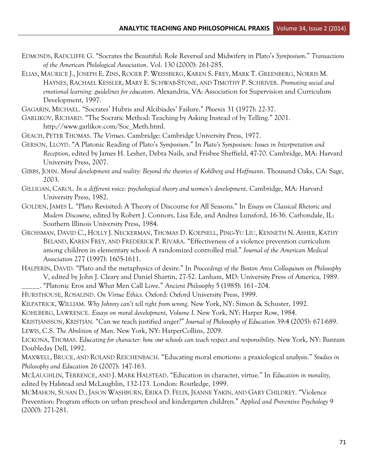- EDMONDS, RADCLIFFE G. "Socrates the Beautiful: Role Reversal and Midwifery in Plato's *Symposium*." *Transactions of the American Philological Association*. Vol. 130 (2000): 261-285.
- ELIAS, MAURICE J., JOSEPH E. ZINS, ROGER P. WEISSBERG, KAREN S. FREY, MARK T. GREENBERG, NORRIS M. HAYNES, RACHAEL KESSLER, MARY E. SCHWAB-STONE, AND TIMOTHY P. SCHRIVER. *Promoting social and emotional learning: guidelines for educators*. Alexandria, VA: Association for Supervision and Curriculum Development, 1997.

GAGARIN, MICHAEL. "Socrates' Hubris and Alcibiades' Failure." *Phoenix* 31 (1977): 22-37.

GARLIKOV, RICHARD. "The Socratic Method: Teaching by Asking Instead of by Telling." 2001. http://www.garlikov.com/Soc\_Meth.html.

GEACH, PETER THOMAS. *The Virtues*. Cambridge: Cambridge University Press, 1977.

GERSON, LLOYD. "A Platonic Reading of Plato's *Symposium*." In *Plato's Symposium: Issues in Interpretation and Reception*, edited by James H. Lesher, Debra Nails, and Frisbee Sheffield, 47-70. Cambridge, MA: Harvard University Press, 2007.

GIBBS, JOHN. *Moral development and reality: Beyond the theories of Kohlberg and Hoffmann*. Thousand Oaks, CA: Sage, 2003.

- GILLIGAN, CAROL. *In a different voice: psychological theory and women's development*. Cambridge, MA: Harvard University Press, 1982.
- GOLDEN, JAMES L. "Plato Revisited: A Theory of Discourse for All Seasons." In *Essays on Classical Rhetoric and Modern Discourse*, edited by Robert J. Connors, Lisa Ede, and Andrea Lunsford, 16-36. Carbondale, IL: Southern Illinois University Press, 1984.
- GROSSMAN, DAVID C., HOLLY J. NECKERMAN, THOMAS D. KOEPSELL, PING-YU LIU, KENNETH N. ASHER, KATHY BELAND, KAREN FREY, AND FREDERICK P. RIVARA. "Effectiveness of a violence prevention curriculum among children in elementary school: A randomized controlled trial." *Journal of the American Medical Association* 277 (1997): 1605-1611.
- HALPERIN, DAVID. "Plato and the metaphysics of desire." In *Proceedings of the Boston Area Colloquium on Philosophy* V, edited by John J. Cleary and Daniel Shartin, 27-52. Lanham, MD: University Press of America, 1989.

\_\_\_\_\_. "Platonic Eros and What Men Call Love." *Ancient Philosophy* 5 (1985): 161–204.

HURSTHOUSE, ROSALIND. *On Virtue Ethics.* Oxford: Oxford University Press, 1999.

KILPATRICK, WILLIAM. *Why Johnny can't tell right from wrong.* New York, NY: Simon & Schuster, 1992.

KOHLBERG, LAWRENCE. *Essays on moral development, Volume I*. New York, NY: Harper Row, 1984.

KRISTJÁNSSON, KRISTJÁN. "Can we teach justified anger?" *Journal of Philosophy of Education* 39:4 (2005): 671-689. LEWIS, C.S. *The Abolition of Man*. New York, NY: HarperCollins, 2009.

LICKONA, THOMAS. *Educating for character: how our schools can teach respect and responsibility*. New York, NY: Bantam Doubleday Dell, 1992.

MAXWELL, BRUCE, AND ROLAND REICHENBACH. "Educating moral emotions: a praxiological analysis." *Studies in Philosophy and Education* 26 (2007): 147-163.

MCLAUGHLIN, TERRENCE, AND J. MARK HALSTEAD. "Education in character, virtue." In *Education in morality*, edited by Halstead and McLaughlin, 132-173. London: Routledge, 1999.

MCMAHON, SUSAN D., JASON WASHBURN, ERIKA D. FELIX, JEANNE YAKIN, AND GARY CHILDREY. "Violence Prevention: Program effects on urban preschool and kindergarten children." *Applied and Preventive Psychology* 9 (2000): 271-281.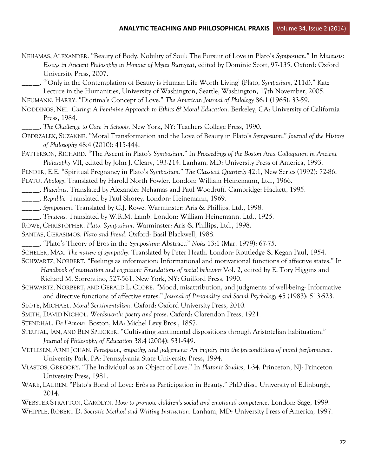| NEHAMAS, ALEXANDER. "Beauty of Body, Nobility of Soul: The Pursuit of Love in Plato's Symposium." In Maieusis: |
|----------------------------------------------------------------------------------------------------------------|
| Essays in Ancient Philosophy in Honour of Myles Burnyeat, edited by Dominic Scott, 97-135. Oxford: Oxford      |
| University Press, 2007.                                                                                        |

\_\_\_\_\_. "'Only in the Contemplation of Beauty is Human Life Worth Living' (Plato, *Symposium,* 211d)." Katz Lecture in the Humanities, University of Washington, Seattle, Washington, 17th November, 2005.

NEUMANN, HARRY. "Diotima's Concept of Love." *The American Journal of Philology* 86:1 (1965): 33-59.

NODDINGS, NEL. *Caring: A Feminine Approach to Ethics & Moral Education*. Berkeley, CA: University of California Press, 1984.

\_\_\_\_\_. *The Challenge to Care in Schools.* New York, NY: Teachers College Press, 1990.

OBDRZALEK, SUZANNE. "Moral Transformation and the Love of Beauty in Plato's *Symposium*." *Journal of the History of Philosophy* 48:4 (2010): 415-444.

PATTERSON, RICHARD. "The Ascent in Plato's *Symposium*." In *Proceedings of the Boston Area Colloquium in Ancient Philosophy* VII, edited by John J. Cleary, 193-214. Lanham, MD: University Press of America, 1993.

PENDER, E.E. "Spiritual Pregnancy in Plato's *Symposium.*" *The Classical Quarterly* 42:1, New Series (1992): 72-86.

PLATO. *Apology*. Translated by Harold North Fowler. London: William Heinemann, Ltd., 1966.

- \_\_\_\_\_. *Phaedrus*. Translated by Alexander Nehamas and Paul Woodruff. Cambridge: Hackett, 1995.
- \_\_\_\_\_. *Republic.* Translated by Paul Shorey. London: Heinemann, 1969.
- \_\_\_\_\_. *Symposium*. Translated by C.J. Rowe. Warminster: Aris & Phillips, Ltd., 1998.
- \_\_\_\_\_. *Timaeus*. Translated by W.R.M. Lamb. London: William Heinemann, Ltd., 1925.

ROWE, CHRISTOPHER. *Plato: Symposium*. Warminster: Aris & Phillips, Ltd., 1998.

- SANTAS, GERASIMOS. *Plato and Freud*. Oxford: Basil Blackwell, 1988.
- \_\_\_\_\_. "Plato's Theory of Eros in the *Symposium*: Abstract." *Noûs* 13:1 (Mar. 1979): 67-75.
- SCHELER, MAX. *The nature of sympathy*. Translated by Peter Heath. London: Routledge & Kegan Paul, 1954.

SCHWARTZ, NORBERT. "Feelings as information: Informational and motivational functions of affective states." In

*Handbook of motivation and cognition: Foundations of social behavior* Vol. 2, edited by E. Tory Higgins and Richard M. Sorrentino, 527-561. New York, NY: Guilford Press, 1990.

SCHWARTZ, NORBERT, AND GERALD L. CLORE. "Mood, misattribution, and judgments of well-being: Informative and directive functions of affective states." *Journal of Personality and Social Psychology* 45 (1983): 513-523.

SLOTE, MICHAEL. *Moral Sentimentalism*. Oxford: Oxford University Press, 2010.

- SMITH, DAVID NICHOL. *Wordsworth: poetry and prose*. Oxford: Clarendon Press, 1921.
- STENDHAL. *De l'Amour*. Boston, MA: Michel Levy Bros., 1857.

STEUTAL, JAN, AND BEN SPIECKER. "Cultivating sentimental dispositions through Aristotelian habituation." *Journal of Philosophy of Education* 38:4 (2004): 531-549.

VETLESEN, ARNE JOHAN. *Perception, empathy, and judgement: An inquiry into the preconditions of moral performance*. University Park, PA: Pennsylvania State University Press, 1994.

VLASTOS, GREGORY. "The Individual as an Object of Love." In *Platonic Studies*, 1-34. Princeton, NJ: Princeton University Press, 1981.

WARE, LAUREN. "Plato's Bond of Love: Erôs as Participation in Beauty." PhD diss., University of Edinburgh, 2014.

WEBSTER-STRATTON, CAROLYN. *How to promote children's social and emotional competence*. London: Sage, 1999. WHIPPLE, ROBERT D. *Socratic Method and Writing Instruction*. Lanham, MD: University Press of America, 1997.